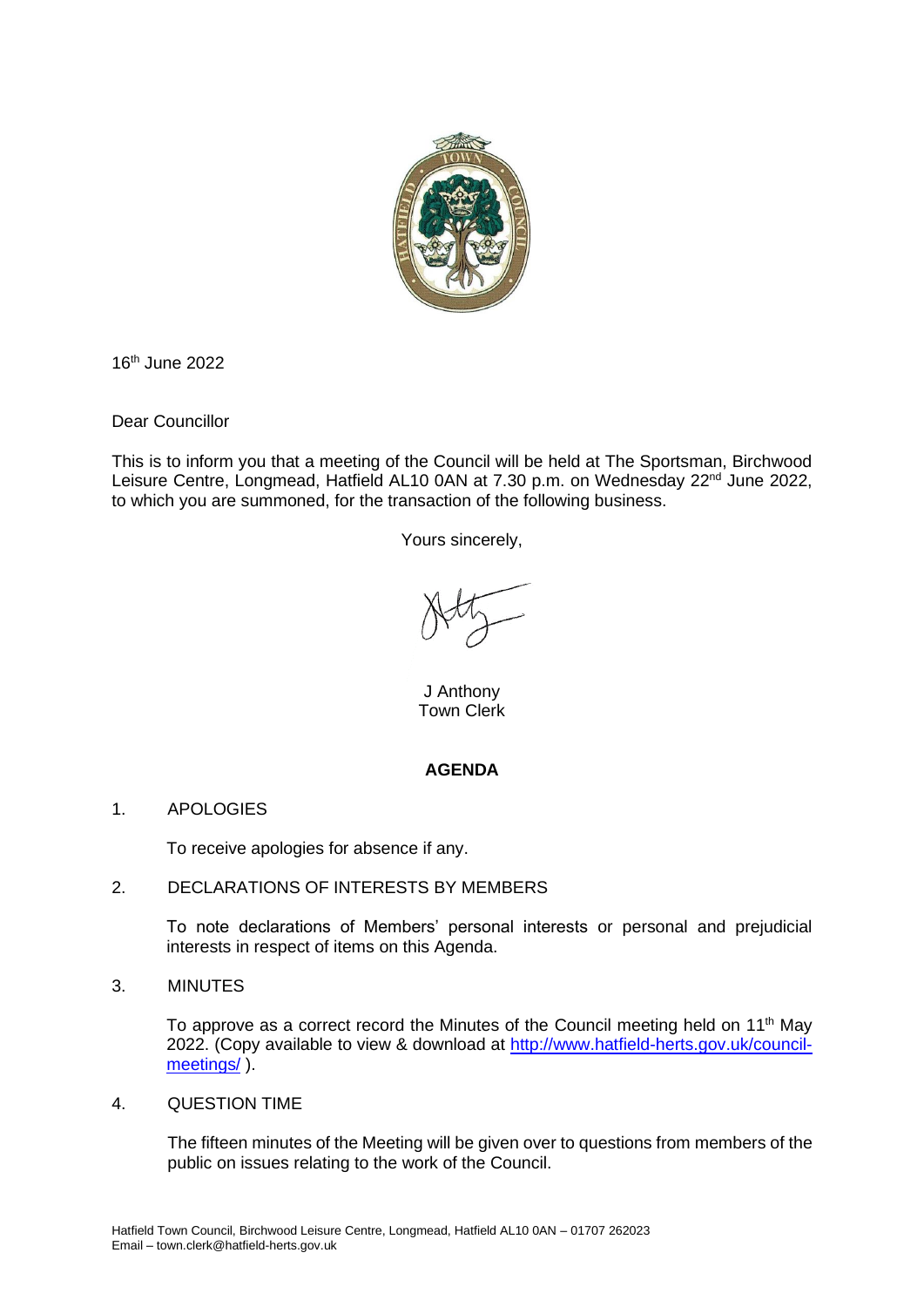

16 th June 2022

Dear Councillor

This is to inform you that a meeting of the Council will be held at The Sportsman, Birchwood Leisure Centre, Longmead, Hatfield AL10 0AN at 7.30 p.m. on Wednesday 22<sup>nd</sup> June 2022, to which you are summoned, for the transaction of the following business.

Yours sincerely,

J Anthony Town Clerk

## **AGENDA**

1. APOLOGIES

To receive apologies for absence if any.

## 2. DECLARATIONS OF INTERESTS BY MEMBERS

To note declarations of Members' personal interests or personal and prejudicial interests in respect of items on this Agenda.

3. MINUTES

To approve as a correct record the Minutes of the Council meeting held on  $11<sup>th</sup>$  May 2022. (Copy available to view & download at [http://www.hatfield-herts.gov.uk/council](http://www.hatfield-herts.gov.uk/council-meetings/)[meetings/](http://www.hatfield-herts.gov.uk/council-meetings/) ).

4. QUESTION TIME

The fifteen minutes of the Meeting will be given over to questions from members of the public on issues relating to the work of the Council.